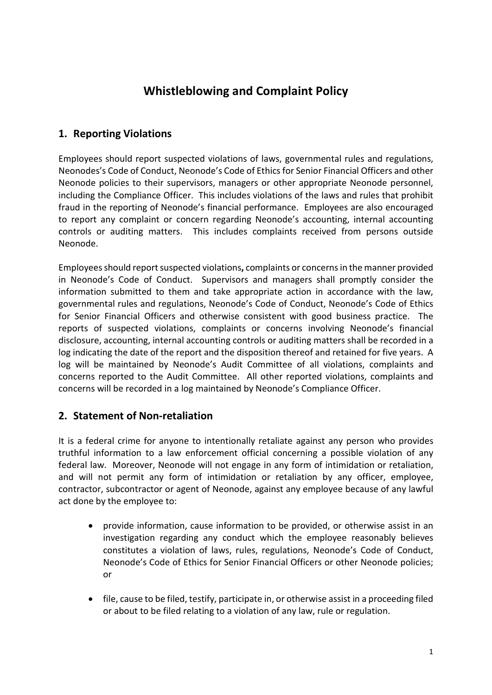## **Whistleblowing and Complaint Policy**

## **1. Reporting Violations**

Employees should report suspected violations of laws, governmental rules and regulations, Neonodes's Code of Conduct, Neonode's Code of Ethicsfor Senior Financial Officers and other Neonode policies to their supervisors, managers or other appropriate Neonode personnel, including the Compliance Officer. This includes violations of the laws and rules that prohibit fraud in the reporting of Neonode's financial performance. Employees are also encouraged to report any complaint or concern regarding Neonode's accounting, internal accounting controls or auditing matters. This includes complaints received from persons outside Neonode.

Employees should reportsuspected violations**,** complaints or concerns in the manner provided in Neonode's Code of Conduct. Supervisors and managers shall promptly consider the information submitted to them and take appropriate action in accordance with the law, governmental rules and regulations, Neonode's Code of Conduct, Neonode's Code of Ethics for Senior Financial Officers and otherwise consistent with good business practice. The reports of suspected violations, complaints or concerns involving Neonode's financial disclosure, accounting, internal accounting controls or auditing matters shall be recorded in a log indicating the date of the report and the disposition thereof and retained for five years. A log will be maintained by Neonode's Audit Committee of all violations, complaints and concerns reported to the Audit Committee. All other reported violations, complaints and concerns will be recorded in a log maintained by Neonode's Compliance Officer.

## **2. Statement of Non-retaliation**

It is a federal crime for anyone to intentionally retaliate against any person who provides truthful information to a law enforcement official concerning a possible violation of any federal law. Moreover, Neonode will not engage in any form of intimidation or retaliation, and will not permit any form of intimidation or retaliation by any officer, employee, contractor, subcontractor or agent of Neonode, against any employee because of any lawful act done by the employee to:

- provide information, cause information to be provided, or otherwise assist in an investigation regarding any conduct which the employee reasonably believes constitutes a violation of laws, rules, regulations, Neonode's Code of Conduct, Neonode's Code of Ethics for Senior Financial Officers or other Neonode policies; or
- file, cause to be filed, testify, participate in, or otherwise assist in a proceeding filed or about to be filed relating to a violation of any law, rule or regulation.